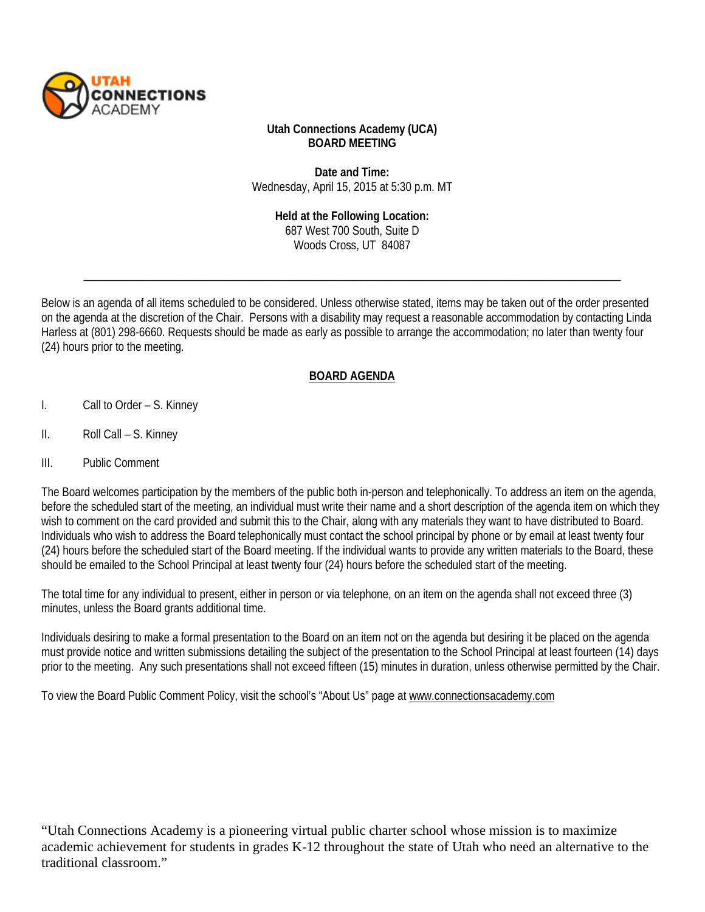

## **Utah Connections Academy (UCA) BOARD MEETING**

**Date and Time:** Wednesday, April 15, 2015 at 5:30 p.m. MT

> **Held at the Following Location:**  687 West 700 South, Suite D Woods Cross, UT 84087

\_\_\_\_\_\_\_\_\_\_\_\_\_\_\_\_\_\_\_\_\_\_\_\_\_\_\_\_\_\_\_\_\_\_\_\_\_\_\_\_\_\_\_\_\_\_\_\_\_\_\_\_\_\_\_\_\_\_\_\_\_\_\_\_\_\_\_\_\_\_\_\_\_\_\_\_\_\_\_\_\_\_\_\_\_\_\_\_\_\_\_\_\_

Below is an agenda of all items scheduled to be considered. Unless otherwise stated, items may be taken out of the order presented on the agenda at the discretion of the Chair. Persons with a disability may request a reasonable accommodation by contacting Linda Harless at (801) 298-6660. Requests should be made as early as possible to arrange the accommodation; no later than twenty four (24) hours prior to the meeting.

## **BOARD AGENDA**

- I. Call to Order S. Kinney
- II. Roll Call S. Kinney
- III. Public Comment

The Board welcomes participation by the members of the public both in-person and telephonically. To address an item on the agenda, before the scheduled start of the meeting, an individual must write their name and a short description of the agenda item on which they wish to comment on the card provided and submit this to the Chair, along with any materials they want to have distributed to Board. Individuals who wish to address the Board telephonically must contact the school principal by phone or by email at least twenty four (24) hours before the scheduled start of the Board meeting. If the individual wants to provide any written materials to the Board, these should be emailed to the School Principal at least twenty four (24) hours before the scheduled start of the meeting.

The total time for any individual to present, either in person or via telephone, on an item on the agenda shall not exceed three (3) minutes, unless the Board grants additional time.

Individuals desiring to make a formal presentation to the Board on an item not on the agenda but desiring it be placed on the agenda must provide notice and written submissions detailing the subject of the presentation to the School Principal at least fourteen (14) days prior to the meeting. Any such presentations shall not exceed fifteen (15) minutes in duration, unless otherwise permitted by the Chair.

To view the Board Public Comment Policy, visit the school's "About Us" page at [www.connectionsacademy.com](http://www.connectionsacademy.com/)

"Utah Connections Academy is a pioneering virtual public charter school whose mission is to maximize academic achievement for students in grades K-12 throughout the state of Utah who need an alternative to the traditional classroom."